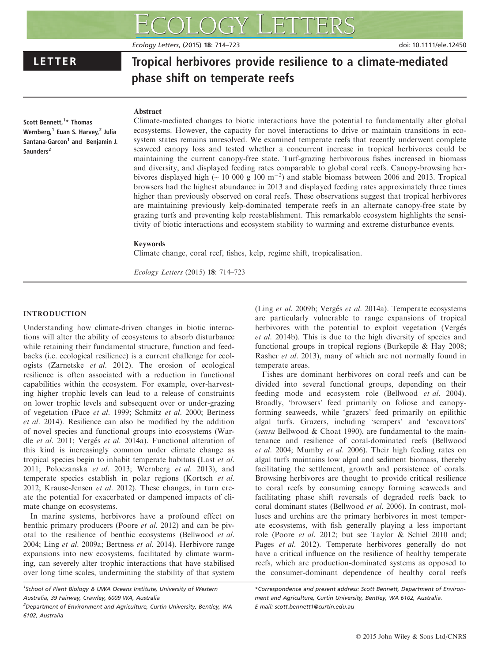Ecology Letters, (2015) 18: 714–723 doi: 10.1111/ele.12450

# LETTER Tropical herbivores provide resilience to a climate-mediated phase shift on temperate reefs

# Abstract

Scott Bennett,<sup>1</sup>\* Thomas Wernberg,<sup>1</sup> Euan S. Harvey,<sup>2</sup> Julia Santana-Garcon<sup>1</sup> and Benjamin J. Saunders<sup>2</sup>

Climate-mediated changes to biotic interactions have the potential to fundamentally alter global ecosystems. However, the capacity for novel interactions to drive or maintain transitions in ecosystem states remains unresolved. We examined temperate reefs that recently underwent complete seaweed canopy loss and tested whether a concurrent increase in tropical herbivores could be maintaining the current canopy-free state. Turf-grazing herbivorous fishes increased in biomass and diversity, and displayed feeding rates comparable to global coral reefs. Canopy-browsing herbivores displayed high ( $\sim 10000 \text{ g } 100 \text{ m}^{-2}$ ) and stable biomass between 2006 and 2013. Tropical browsers had the highest abundance in 2013 and displayed feeding rates approximately three times higher than previously observed on coral reefs. These observations suggest that tropical herbivores are maintaining previously kelp-dominated temperate reefs in an alternate canopy-free state by grazing turfs and preventing kelp reestablishment. This remarkable ecosystem highlights the sensitivity of biotic interactions and ecosystem stability to warming and extreme disturbance events.

# Keywords

Climate change, coral reef, fishes, kelp, regime shift, tropicalisation.

Ecology Letters (2015) 18: 714–723

# INTRODUCTION

Understanding how climate-driven changes in biotic interactions will alter the ability of ecosystems to absorb disturbance while retaining their fundamental structure, function and feedbacks (i.e. ecological resilience) is a current challenge for ecologists (Zarnetske et al. 2012). The erosion of ecological resilience is often associated with a reduction in functional capabilities within the ecosystem. For example, over-harvesting higher trophic levels can lead to a release of constraints on lower trophic levels and subsequent over or under-grazing of vegetation (Pace et al. 1999; Schmitz et al. 2000; Bertness et al. 2014). Resilience can also be modified by the addition of novel species and functional groups into ecosystems (Wardle et al. 2011; Vergés et al. 2014a). Functional alteration of this kind is increasingly common under climate change as tropical species begin to inhabit temperate habitats (Last et al. 2011; Poloczanska et al. 2013; Wernberg et al. 2013), and temperate species establish in polar regions (Kortsch et al. 2012; Krause-Jensen et al. 2012). These changes, in turn create the potential for exacerbated or dampened impacts of climate change on ecosystems.

In marine systems, herbivores have a profound effect on benthic primary producers (Poore et al. 2012) and can be pivotal to the resilience of benthic ecosystems (Bellwood et al. 2004; Ling et al. 2009a; Bertness et al. 2014). Herbivore range expansions into new ecosystems, facilitated by climate warming, can severely alter trophic interactions that have stabilised over long time scales, undermining the stability of that system

<sup>1</sup>School of Plant Biology & UWA Oceans Institute, University of Western Australia, 39 Fairway, Crawley, 6009 WA, Australia

(Ling et al. 2009b; Vergés et al. 2014a). Temperate ecosystems are particularly vulnerable to range expansions of tropical herbivores with the potential to exploit vegetation (Vergés et al. 2014b). This is due to the high diversity of species and functional groups in tropical regions (Burkepile & Hay 2008; Rasher et al. 2013), many of which are not normally found in temperate areas.

Fishes are dominant herbivores on coral reefs and can be divided into several functional groups, depending on their feeding mode and ecosystem role (Bellwood et al. 2004). Broadly, 'browsers' feed primarily on foliose and canopyforming seaweeds, while 'grazers' feed primarily on epilithic algal turfs. Grazers, including 'scrapers' and 'excavators' (sensu Bellwood & Choat 1990), are fundamental to the maintenance and resilience of coral-dominated reefs (Bellwood et al. 2004; Mumby et al. 2006). Their high feeding rates on algal turfs maintains low algal and sediment biomass, thereby facilitating the settlement, growth and persistence of corals. Browsing herbivores are thought to provide critical resilience to coral reefs by consuming canopy forming seaweeds and facilitating phase shift reversals of degraded reefs back to coral dominant states (Bellwood et al. 2006). In contrast, molluscs and urchins are the primary herbivores in most temperate ecosystems, with fish generally playing a less important role (Poore et al. 2012; but see Taylor & Schiel 2010 and; Pages et al. 2012). Temperate herbivores generally do not have a critical influence on the resilience of healthy temperate reefs, which are production-dominated systems as opposed to the consumer-dominant dependence of healthy coral reefs

<sup>&</sup>lt;sup>2</sup>Department of Environment and Agriculture, Curtin University, Bentley, WA 6102, Australia

<sup>\*</sup>Correspondence and present address: Scott Bennett, Department of Environment and Agriculture, Curtin University, Bentley, WA 6102, Australia. E-mail: scott.bennett1@curtin.edu.au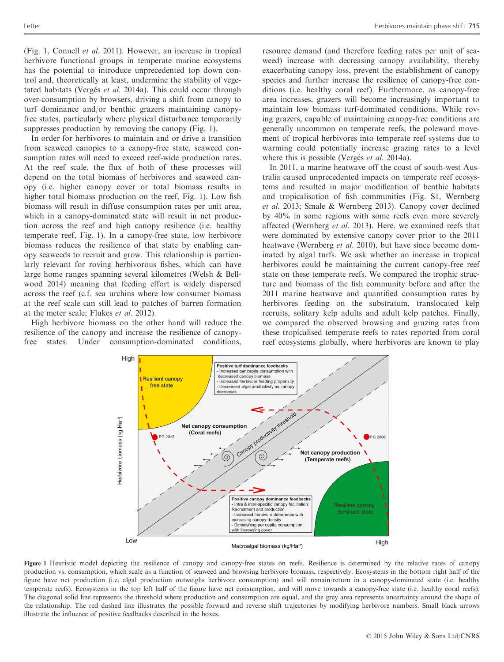(Fig. 1, Connell et al. 2011). However, an increase in tropical herbivore functional groups in temperate marine ecosystems has the potential to introduce unprecedented top down control and, theoretically at least, undermine the stability of vegetated habitats (Vergés et al. 2014a). This could occur through over-consumption by browsers, driving a shift from canopy to turf dominance and/or benthic grazers maintaining canopyfree states, particularly where physical disturbance temporarily suppresses production by removing the canopy (Fig. 1).

In order for herbivores to maintain and or drive a transition from seaweed canopies to a canopy-free state, seaweed consumption rates will need to exceed reef-wide production rates. At the reef scale, the flux of both of these processes will depend on the total biomass of herbivores and seaweed canopy (i.e. higher canopy cover or total biomass results in higher total biomass production on the reef, Fig. 1). Low fish biomass will result in diffuse consumption rates per unit area, which in a canopy-dominated state will result in net production across the reef and high canopy resilience (i.e. healthy temperate reef, Fig. 1). In a canopy-free state, low herbivore biomass reduces the resilience of that state by enabling canopy seaweeds to recruit and grow. This relationship is particularly relevant for roving herbivorous fishes, which can have large home ranges spanning several kilometres (Welsh & Bellwood 2014) meaning that feeding effort is widely dispersed across the reef (c.f. sea urchins where low consumer biomass at the reef scale can still lead to patches of barren formation at the meter scale; Flukes et al. 2012).

High herbivore biomass on the other hand will reduce the resilience of the canopy and increase the resilience of canopyfree states. Under consumption-dominated conditions,

resource demand (and therefore feeding rates per unit of seaweed) increase with decreasing canopy availability, thereby exacerbating canopy loss, prevent the establishment of canopy species and further increase the resilience of canopy-free conditions (i.e. healthy coral reef). Furthermore, as canopy-free area increases, grazers will become increasingly important to maintain low biomass turf-dominated conditions. While roving grazers, capable of maintaining canopy-free conditions are generally uncommon on temperate reefs, the poleward movement of tropical herbivores into temperate reef systems due to warming could potentially increase grazing rates to a level where this is possible (Vergés et al. 2014a).

In 2011, a marine heatwave off the coast of south-west Australia caused unprecedented impacts on temperate reef ecosystems and resulted in major modification of benthic habitats and tropicalisation of fish communities (Fig. S1, Wernberg et al. 2013; Smale & Wernberg 2013). Canopy cover declined by 40% in some regions with some reefs even more severely affected (Wernberg et al. 2013). Here, we examined reefs that were dominated by extensive canopy cover prior to the 2011 heatwave (Wernberg *et al.* 2010), but have since become dominated by algal turfs. We ask whether an increase in tropical herbivores could be maintaining the current canopy-free reef state on these temperate reefs. We compared the trophic structure and biomass of the fish community before and after the 2011 marine heatwave and quantified consumption rates by herbivores feeding on the substratum, translocated kelp recruits, solitary kelp adults and adult kelp patches. Finally, we compared the observed browsing and grazing rates from these tropicalised temperate reefs to rates reported from coral reef ecosystems globally, where herbivores are known to play



Figure 1 Heuristic model depicting the resilience of canopy and canopy-free states on reefs. Resilience is determined by the relative rates of canopy production vs. consumption, which scale as a function of seaweed and browsing herbivore biomass, respectively. Ecosystems in the bottom right half of the figure have net production (i.e. algal production outweighs herbivore consumption) and will remain/return in a canopy-dominated state (i.e. healthy temperate reefs). Ecosystems in the top left half of the figure have net consumption, and will move towards a canopy-free state (i.e. healthy coral reefs). The diagonal solid line represents the threshold where production and consumption are equal, and the grey area represents uncertainty around the shape of the relationship. The red dashed line illustrates the possible forward and reverse shift trajectories by modifying herbivore numbers. Small black arrows illustrate the influence of positive feedbacks described in the boxes.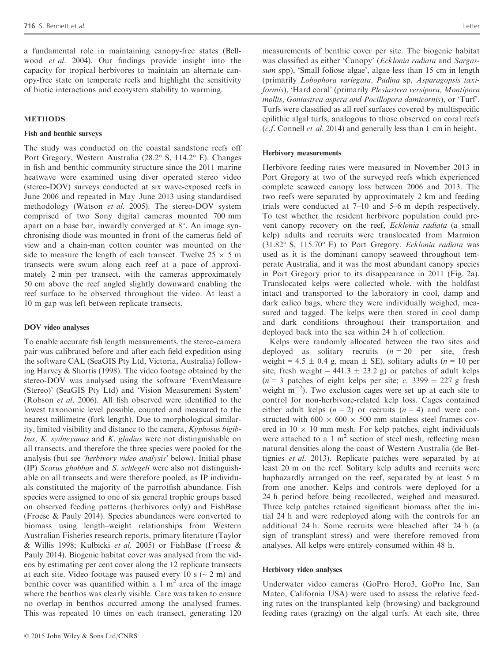a fundamental role in maintaining canopy-free states (Bellwood et al. 2004). Our findings provide insight into the capacity for tropical herbivores to maintain an alternate canopy-free state on temperate reefs and highlight the sensitivity of biotic interactions and ecosystem stability to warming.

#### METHODS

#### Fish and benthic surveys

The study was conducted on the coastal sandstone reefs off Port Gregory, Western Australia (28.2° S, 114.2° E). Changes in fish and benthic community structure since the 2011 marine heatwave were examined using diver operated stereo video (stereo-DOV) surveys conducted at six wave-exposed reefs in June 2006 and repeated in May–June 2013 using standardised methodology (Watson et al. 2005). The stereo-DOV system comprised of two Sony digital cameras mounted 700 mm apart on a base bar, inwardly converged at 8°. An image synchronising diode was mounted in front of the cameras field of view and a chain-man cotton counter was mounted on the side to measure the length of each transect. Twelve  $25 \times 5$  m transects were swum along each reef at a pace of approximately 2 min per transect, with the cameras approximately 50 cm above the reef angled slightly downward enabling the reef surface to be observed throughout the video. At least a 10 m gap was left between replicate transects.

#### DOV video analyses

To enable accurate fish length measurements, the stereo-camera pair was calibrated before and after each field expedition using the software CAL (SeaGIS Pty Ltd, Victoria, Australia) following Harvey & Shortis (1998). The video footage obtained by the stereo-DOV was analysed using the software 'EventMeasure (Stereo)' (SeaGIS Pty Ltd) and 'Vision Measurement System' (Robson et al. 2006). All fish observed were identified to the lowest taxonomic level possible, counted and measured to the nearest millimetre (fork length). Due to morphological similarity, limited visibility and distance to the camera, Kyphosus bigibbus, K. sydneyanus and K. gladius were not distinguishable on all transects, and therefore the three species were pooled for the analysis (but see 'herbivory video analysis' below). Initial phase (IP) Scarus ghobban and S. schlegeli were also not distinguishable on all transects and were therefore pooled, as IP individuals constituted the majority of the parrotfish abundance. Fish species were assigned to one of six general trophic groups based on observed feeding patterns (herbivores only) and FishBase (Froese & Pauly 2014). Species abundances were converted to biomass using length–weight relationships from Western Australian Fisheries research reports, primary literature (Taylor & Willis 1998; Kulbicki et al. 2005) or FishBase (Froese & Pauly 2014). Biogenic habitat cover was analysed from the videos by estimating per cent cover along the 12 replicate transects at each site. Video footage was paused every 10 s  $\sim$  2 m) and benthic cover was quantified within a  $1 \text{ m}^2$  area of the image where the benthos was clearly visible. Care was taken to ensure no overlap in benthos occurred among the analysed frames. This was repeated 10 times on each transect, generating 120

measurements of benthic cover per site. The biogenic habitat was classified as either 'Canopy' (Ecklonia radiata and Sargassum spp), 'Small foliose algae', algae less than 15 cm in length (primarily Lobophora variegata, Padina sp, Asparagopsis taxiformis), 'Hard coral' (primarily Plesiastrea versipora, Montipora mollis, Goniastrea aspera and Pocillopora damicornis), or 'Turf'. Turfs were classified as all reef surfaces covered by multispecific epilithic algal turfs, analogous to those observed on coral reefs (c.f. Connell et al. 2014) and generally less than 1 cm in height.

#### Herbivory measurements

Herbivore feeding rates were measured in November 2013 in Port Gregory at two of the surveyed reefs which experienced complete seaweed canopy loss between 2006 and 2013. The two reefs were separated by approximately 2 km and feeding trials were conducted at 7–10 and 5–6 m depth respectively. To test whether the resident herbivore population could prevent canopy recovery on the reef, Ecklonia radiata (a small kelp) adults and recruits were translocated from Marmion (31.82° S, 115.70° E) to Port Gregory. Ecklonia radiata was used as it is the dominant canopy seaweed throughout temperate Australia, and it was the most abundant canopy species in Port Gregory prior to its disappearance in 2011 (Fig. 2a). Translocated kelps were collected whole, with the holdfast intact and transported to the laboratory in cool, damp and dark calico bags, where they were individually weighed, measured and tagged. The kelps were then stored in cool damp and dark conditions throughout their transportation and deployed back into the sea within 24 h of collection.

Kelps were randomly allocated between the two sites and deployed as solitary recruits  $(n = 20$  per site, fresh weight = 4.5  $\pm$  0.4 g, mean  $\pm$  SE), solitary adults (*n* = 10 per site, fresh weight =  $441.3 \pm 23.2$  g) or patches of adult kelps  $(n = 3$  patches of eight kelps per site; c. 3399  $\pm$  227 g fresh weight  $m^{-2}$ ). Two exclusion cages were set up at each site to control for non-herbivore-related kelp loss. Cages contained either adult kelps  $(n = 2)$  or recruits  $(n = 4)$  and were constructed with 600  $\times$  600  $\times$  500 mm stainless steel frames covered in  $10 \times 10$  mm mesh. For kelp patches, eight individuals were attached to a 1  $m<sup>2</sup>$  section of steel mesh, reflecting mean natural densities along the coast of Western Australia (de Bettignies et al. 2013). Replicate patches were separated by at least 20 m on the reef. Solitary kelp adults and recruits were haphazardly arranged on the reef, separated by at least 5 m from one another. Kelps and controls were deployed for a 24 h period before being recollected, weighed and measured. Three kelp patches retained significant biomass after the initial 24 h and were redeployed along with the controls for an additional 24 h. Some recruits were bleached after 24 h (a sign of transplant stress) and were therefore removed from analyses. All kelps were entirely consumed within 48 h.

# Herbivory video analyses

Underwater video cameras (GoPro Hero3, GoPro Inc, San Mateo, California USA) were used to assess the relative feeding rates on the transplanted kelp (browsing) and background feeding rates (grazing) on the algal turfs. At each site, three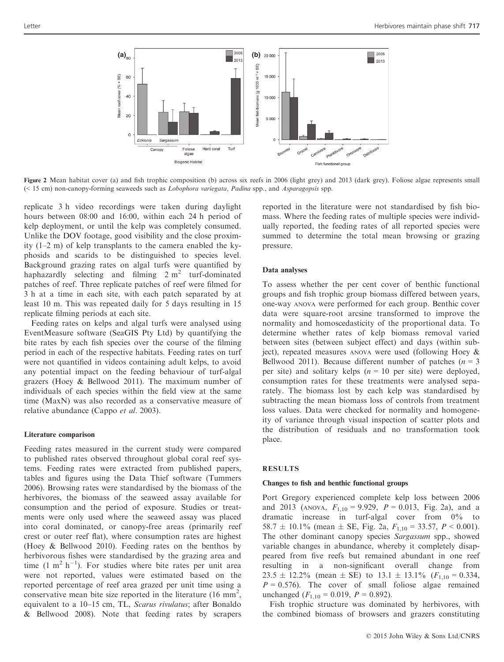

Figure 2 Mean habitat cover (a) and fish trophic composition (b) across six reefs in 2006 (light grey) and 2013 (dark grey). Foliose algae represents small (< 15 cm) non-canopy-forming seaweeds such as Lobophora variegata, Padina spp., and Asparagopsis spp.

replicate 3 h video recordings were taken during daylight hours between 08:00 and 16:00, within each 24 h period of kelp deployment, or until the kelp was completely consumed. Unlike the DOV footage, good visibility and the close proximity (1–2 m) of kelp transplants to the camera enabled the kyphosids and scarids to be distinguished to species level. Background grazing rates on algal turfs were quantified by haphazardly selecting and filming  $2 m<sup>2</sup>$  turf-dominated patches of reef. Three replicate patches of reef were filmed for 3 h at a time in each site, with each patch separated by at least 10 m. This was repeated daily for 5 days resulting in 15 replicate filming periods at each site.

Feeding rates on kelps and algal turfs were analysed using EventMeasure software (SeaGIS Pty Ltd) by quantifying the bite rates by each fish species over the course of the filming period in each of the respective habitats. Feeding rates on turf were not quantified in videos containing adult kelps, to avoid any potential impact on the feeding behaviour of turf-algal grazers (Hoey & Bellwood 2011). The maximum number of individuals of each species within the field view at the same time (MaxN) was also recorded as a conservative measure of relative abundance (Cappo et al. 2003).

#### Literature comparison

Feeding rates measured in the current study were compared to published rates observed throughout global coral reef systems. Feeding rates were extracted from published papers, tables and figures using the Data Thief software (Tummers 2006). Browsing rates were standardised by the biomass of the herbivores, the biomass of the seaweed assay available for consumption and the period of exposure. Studies or treatments were only used where the seaweed assay was placed into coral dominated, or canopy-free areas (primarily reef crest or outer reef flat), where consumption rates are highest (Hoey & Bellwood 2010). Feeding rates on the benthos by herbivorous fishes were standardised by the grazing area and time  $(1 \text{ m}^2 \text{ h}^{-1})$ . For studies where bite rates per unit area were not reported, values were estimated based on the reported percentage of reef area grazed per unit time using a conservative mean bite size reported in the literature  $(16 \text{ mm}^2,$ equivalent to a 10–15 cm, TL, Scarus rivulatus; after Bonaldo & Bellwood 2008). Note that feeding rates by scrapers

reported in the literature were not standardised by fish biomass. Where the feeding rates of multiple species were individually reported, the feeding rates of all reported species were summed to determine the total mean browsing or grazing pressure.

#### Data analyses

To assess whether the per cent cover of benthic functional groups and fish trophic group biomass differed between years, one-way ANOVA were performed for each group. Benthic cover data were square-root arcsine transformed to improve the normality and homoscedasticity of the proportional data. To determine whether rates of kelp biomass removal varied between sites (between subject effect) and days (within subject), repeated measures ANOVA were used (following Hoey & Bellwood 2011). Because different number of patches ( $n = 3$ ) per site) and solitary kelps  $(n = 10$  per site) were deployed, consumption rates for these treatments were analysed separately. The biomass lost by each kelp was standardised by subtracting the mean biomass loss of controls from treatment loss values. Data were checked for normality and homogeneity of variance through visual inspection of scatter plots and the distribution of residuals and no transformation took place.

#### **RESULTS**

## Changes to fish and benthic functional groups

Port Gregory experienced complete kelp loss between 2006 and 2013 (ANOVA,  $F_{1,10} = 9.929$ ,  $P = 0.013$ , Fig. 2a), and a dramatic increase in turf-algal cover from 0% to 58.7  $\pm$  10.1% (mean  $\pm$  SE, Fig. 2a,  $F_{1,10}$  = 33.57,  $P < 0.001$ ). The other dominant canopy species Sargassum spp., showed variable changes in abundance, whereby it completely disappeared from five reefs but remained abundant in one reef resulting in a non-significant overall change from  $23.5 \pm 12.2\%$  (mean  $\pm$  SE) to  $13.1 \pm 13.1\%$  ( $F_{1,10} = 0.334$ ,  $P = 0.576$ . The cover of small foliose algae remained unchanged  $(F_{1,10} = 0.019, P = 0.892)$ .

Fish trophic structure was dominated by herbivores, with the combined biomass of browsers and grazers constituting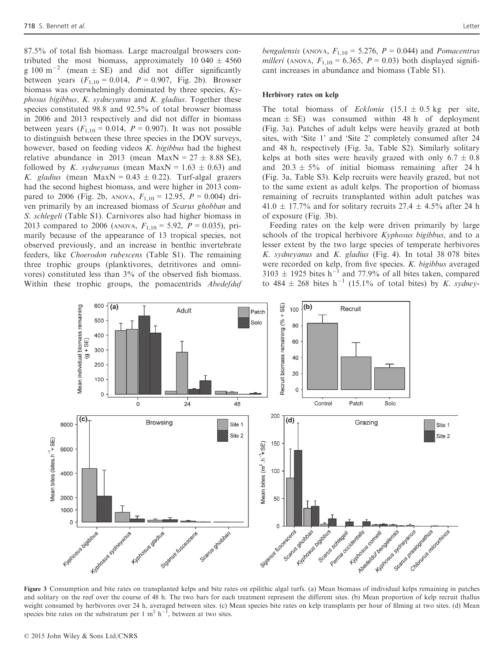87.5% of total fish biomass. Large macroalgal browsers contributed the most biomass, approximately 10 040  $\pm$  4560 g 100 m<sup>-2</sup> (mean  $\pm$  SE) and did not differ significantly between years  $(F_{1,10} = 0.014, P = 0.907,$  Fig. 2b). Browser biomass was overwhelmingly dominated by three species,  $K_{\mathcal{V}}$  $phosus$  bigibbus,  $K.$  sydneyanus and  $K.$  gladius. Together these species constituted 98.8 and 92.5% of total browser biomass in 2006 and 2013 respectively and did not differ in biomass between years  $(F_{1,10} = 0.014, P = 0.907)$ . It was not possible to distinguish between these three species in the DOV surveys, however, based on feeding videos K. bigibbus had the highest relative abundance in 2013 (mean MaxN =  $27 \pm 8.88$  SE), followed by K. sydneyanus (mean MaxN =  $1.63 \pm 0.63$ ) and K. gladius (mean MaxN =  $0.43 \pm 0.22$ ). Turf-algal grazers had the second highest biomass, and were higher in 2013 compared to 2006 (Fig. 2b, ANOVA,  $F_{1,10} = 12.95$ ,  $P = 0.004$ ) driven primarily by an increased biomass of Scarus ghobban and S. schlegeli (Table S1). Carnivores also had higher biomass in 2013 compared to 2006 (ANOVA,  $F_{1,10} = 5.92$ ,  $P = 0.035$ ), primarily because of the appearance of 13 tropical species, not observed previously, and an increase in benthic invertebrate feeders, like Choerodon rubescens (Table S1). The remaining three trophic groups (planktivores, detritivores and omnivores) constituted less than 3% of the observed fish biomass. Within these trophic groups, the pomacentrids *Abedefduf*  bengalensis (ANOVA,  $F_{1,10} = 5.276$ ,  $P = 0.044$ ) and *Pomacentrus* milleri (ANOVA,  $F_{1,10} = 6.365$ ,  $P = 0.03$ ) both displayed significant increases in abundance and biomass (Table S1).

#### Herbivory rates on kelp

The total biomass of *Ecklonia*  $(15.1 \pm 0.5 \text{ kg})$  per site, mean  $\pm$  SE) was consumed within 48 h of deployment (Fig. 3a). Patches of adult kelps were heavily grazed at both sites, with 'Site 1' and 'Site 2' completely consumed after 24 and 48 h, respectively (Fig. 3a, Table S2). Similarly solitary kelps at both sites were heavily grazed with only  $6.7 \pm 0.8$ and  $20.3 \pm 5\%$  of initial biomass remaining after 24 h (Fig. 3a, Table S3). Kelp recruits were heavily grazed, but not to the same extent as adult kelps. The proportion of biomass remaining of recruits transplanted within adult patches was 41.0  $\pm$  17.7% and for solitary recruits 27.4  $\pm$  4.5% after 24 h of exposure (Fig. 3b).

Feeding rates on the kelp were driven primarily by large schools of the tropical herbivore *Kyphosus bigibbus*, and to a lesser extent by the two large species of temperate herbivores K. sydneyanus and K. gladius (Fig. 4). In total 38 078 bites were recorded on kelp, from five species. K. bigibbus averaged  $3103 \pm 1925$  bites h<sup>-1</sup> and 77.9% of all bites taken, compared to 484  $\pm$  268 bites h<sup>-1</sup> (15.1% of total bites) by *K. sydney-*



Figure 3 Consumption and bite rates on transplanted kelps and bite rates on epilithic algal turfs. (a) Mean biomass of individual kelps remaining in patches and solitary on the reef over the course of 48 h. The two bars for each treatment represent the different sites. (b) Mean proportion of kelp recruit thallus weight consumed by herbivores over 24 h, averaged between sites. (c) Mean species bite rates on kelp transplants per hour of filming at two sites. (d) Mean species bite rates on the substratum per 1 m<sup>2</sup> h<sup>-1</sup>, between at two sites.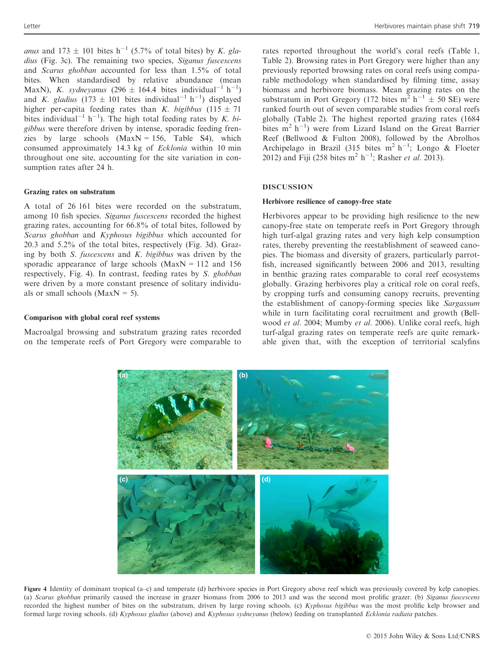anus and 173  $\pm$  101 bites h<sup>-1</sup> (5.7% of total bites) by K. gladius (Fig. 3c). The remaining two species, Siganus fuscescens and Scarus ghobban accounted for less than 1.5% of total bites. When standardised by relative abundance (mean MaxN), K. sydneyanus (296  $\pm$  164.4 bites individual<sup>-1</sup> h<sup>-1</sup>) and K. gladius  $(173 \pm 101)$  bites individual<sup>-1</sup> h<sup>-1</sup>) displayed higher per-capita feeding rates than K. bigibbus (115  $\pm$  71 bites individual<sup>-1</sup> h<sup>-1</sup>). The high total feeding rates by K. bigibbus were therefore driven by intense, sporadic feeding frenzies by large schools  $(MaxN = 156, Table S4)$ , which consumed approximately 14.3 kg of Ecklonia within 10 min throughout one site, accounting for the site variation in consumption rates after 24 h.

#### Grazing rates on substratum

A total of 26 161 bites were recorded on the substratum, among 10 fish species. Siganus fuscescens recorded the highest grazing rates, accounting for 66.8% of total bites, followed by Scarus ghobban and Kyphosus bigibbus which accounted for 20.3 and 5.2% of the total bites, respectively (Fig. 3d). Grazing by both  $S.$  fuscescens and  $K.$  bigibbus was driven by the sporadic appearance of large schools ( $MaxN = 112$  and 156 respectively, Fig. 4). In contrast, feeding rates by S. ghobban were driven by a more constant presence of solitary individuals or small schools ( $MaxN = 5$ ).

#### Comparison with global coral reef systems

Macroalgal browsing and substratum grazing rates recorded on the temperate reefs of Port Gregory were comparable to rates reported throughout the world's coral reefs (Table 1, Table 2). Browsing rates in Port Gregory were higher than any previously reported browsing rates on coral reefs using comparable methodology when standardised by filming time, assay biomass and herbivore biomass. Mean grazing rates on the substratum in Port Gregory (172 bites  $m^2$  h<sup>-1</sup>  $\pm$  50 SE) were ranked fourth out of seven comparable studies from coral reefs globally (Table 2). The highest reported grazing rates (1684 bites  $m^2$  h<sup>-1</sup>) were from Lizard Island on the Great Barrier Reef (Bellwood & Fulton 2008), followed by the Abrolhos Archipelago in Brazil (315 bites m<sup>2</sup> h<sup>-1</sup>; Longo & Floeter 2012) and Fiji (258 bites  $m^2 h^{-1}$ ; Rasher *et al.* 2013).

#### DISCUSSION

#### Herbivore resilience of canopy-free state

Herbivores appear to be providing high resilience to the new canopy-free state on temperate reefs in Port Gregory through high turf-algal grazing rates and very high kelp consumption rates, thereby preventing the reestablishment of seaweed canopies. The biomass and diversity of grazers, particularly parrotfish, increased significantly between 2006 and 2013, resulting in benthic grazing rates comparable to coral reef ecosystems globally. Grazing herbivores play a critical role on coral reefs, by cropping turfs and consuming canopy recruits, preventing the establishment of canopy-forming species like Sargassum while in turn facilitating coral recruitment and growth (Bellwood et al. 2004; Mumby et al. 2006). Unlike coral reefs, high turf-algal grazing rates on temperate reefs are quite remarkable given that, with the exception of territorial scalyfins



Figure 4 Identity of dominant tropical (a–c) and temperate (d) herbivore species in Port Gregory above reef which was previously covered by kelp canopies. (a) Scarus ghobban primarily caused the increase in grazer biomass from 2006 to 2013 and was the second most prolific grazer. (b) Siganus fuscescens recorded the highest number of bites on the substratum, driven by large roving schools. (c) Kyphosus bigibbus was the most prolific kelp browser and formed large roving schools. (d) Kyphosus gladius (above) and Kyphosus sydneyanus (below) feeding on transplanted Ecklonia radiata patches.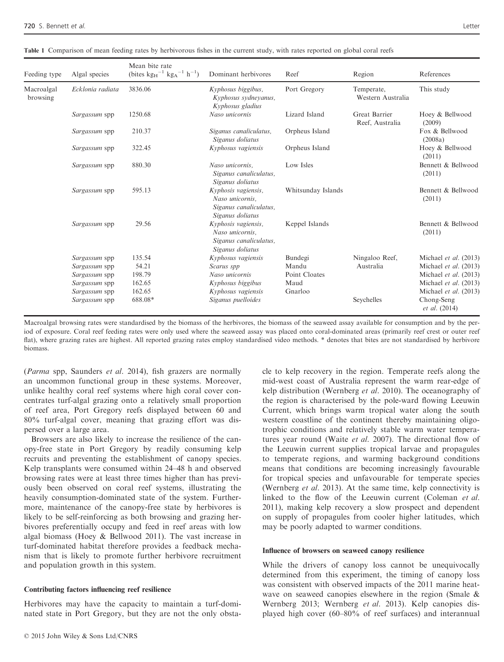Feeding type Algal spe

Macroalgal browsing

| et al.                                                                                                           |                                                                    |                                                                                      |                    |                                  | Letter                       |  |
|------------------------------------------------------------------------------------------------------------------|--------------------------------------------------------------------|--------------------------------------------------------------------------------------|--------------------|----------------------------------|------------------------------|--|
| ison of mean feeding rates by herbivorous fishes in the current study, with rates reported on global coral reefs |                                                                    |                                                                                      |                    |                                  |                              |  |
| Algal species                                                                                                    | Mean bite rate<br>(bites $kg_H^{-1}$ $kg_A^{-1}$ h <sup>-1</sup> ) | Dominant herbivores                                                                  | Reef               | Region                           | References                   |  |
| Ecklonia radiata                                                                                                 | 3836.06                                                            | Kyphosus biggibus,<br>Kyphosus sydneyanus,<br>Kyphosus gladius                       | Port Gregory       | Temperate,<br>Western Australia  | This study                   |  |
| Sargassum spp                                                                                                    | 1250.68                                                            | Naso unicornis                                                                       | Lizard Island      | Great Barrier<br>Reef, Australia | Hoey & Bellwood<br>(2009)    |  |
| Sargassum spp                                                                                                    | 210.37                                                             | Siganus canaliculatus,<br>Siganus doliatus                                           | Orpheus Island     |                                  | Fox & Bellwood<br>(2008a)    |  |
| Sargassum spp                                                                                                    | 322.45                                                             | Kyphosus vagiensis                                                                   | Orpheus Island     |                                  | Hoey & Bellwood<br>(2011)    |  |
| Sargassum spp                                                                                                    | 880.30                                                             | Naso unicornis.<br>Siganus canaliculatus,<br>Siganus doliatus                        | Low Isles          |                                  | Bennett & Bellwood<br>(2011) |  |
| Sargassum spp                                                                                                    | 595.13                                                             | Kyphosis vagiensis,<br>Naso unicornis.<br>Siganus canaliculatus,<br>Siganus doliatus | Whitsunday Islands |                                  | Bennett & Bellwood<br>(2011) |  |
| Sargassum spp                                                                                                    | 29.56                                                              | Kyphosis vagiensis,<br>Naso unicornis.<br>Siganus canaliculatus,                     | Keppel Islands     |                                  | Bennett & Bellwood<br>(2011) |  |

|  |  |  |  |  | Table 1 Comparison of mean feeding rates by herbivorous fishes in the current study, with rates reported on global coral reefs |
|--|--|--|--|--|--------------------------------------------------------------------------------------------------------------------------------|
|--|--|--|--|--|--------------------------------------------------------------------------------------------------------------------------------|

Macroalgal browsing rates were standardised by the biomass of the herbivores, the biomass of the seaweed assay available for consumption and by the period of exposure. Coral reef feeding rates were only used where the seaweed assay was placed onto coral-dominated areas (primarily reef crest or outer reef flat), where grazing rates are highest. All reported grazing rates employ standardised video methods. \* denotes that bites are not standardised by herbivore biomass.

Sargassum spp 198.79 Naso unicornis Point Cloates Michael et al. (2013)<br>Sargassum spp 162.65 Nyphosus biggibus Maud Michael et al. (2013)

Sargassum spp 162.65 Kyphosus vagiensis Gnarloo Michael et al. (2013) Sargassum spp 688.08\* Siganus puelloides Seychelles Chong-Seng

Sargassum spp 162.65 Kyphosus biggibus Maud Michael et al. (2013)

Siganus doliatus

Sargassum spp 135.54 Kyphosus vagiensis Bundegi Ningaloo Reef,<br>
Sargassum spp 54.21 Scarus spp Mandu Australia

(Parma spp, Saunders et al. 2014), fish grazers are normally an uncommon functional group in these systems. Moreover, unlike healthy coral reef systems where high coral cover concentrates turf-algal grazing onto a relatively small proportion of reef area, Port Gregory reefs displayed between 60 and 80% turf-algal cover, meaning that grazing effort was dispersed over a large area.

Browsers are also likely to increase the resilience of the canopy-free state in Port Gregory by readily consuming kelp recruits and preventing the establishment of canopy species. Kelp transplants were consumed within 24–48 h and observed browsing rates were at least three times higher than has previously been observed on coral reef systems, illustrating the heavily consumption-dominated state of the system. Furthermore, maintenance of the canopy-free state by herbivores is likely to be self-reinforcing as both browsing and grazing herbivores preferentially occupy and feed in reef areas with low algal biomass (Hoey & Bellwood 2011). The vast increase in turf-dominated habitat therefore provides a feedback mechanism that is likely to promote further herbivore recruitment and population growth in this system.

#### Contributing factors influencing reef resilience

Herbivores may have the capacity to maintain a turf-dominated state in Port Gregory, but they are not the only obsta-

© 2015 John Wiley & Sons Ltd/CNRS

cle to kelp recovery in the region. Temperate reefs along the mid-west coast of Australia represent the warm rear-edge of kelp distribution (Wernberg et al. 2010). The oceanography of the region is characterised by the pole-ward flowing Leeuwin Current, which brings warm tropical water along the south western coastline of the continent thereby maintaining oligotrophic conditions and relatively stable warm water temperatures year round (Waite et al. 2007). The directional flow of the Leeuwin current supplies tropical larvae and propagules to temperate regions, and warming background conditions means that conditions are becoming increasingly favourable for tropical species and unfavourable for temperate species (Wernberg *et al.* 2013). At the same time, kelp connectivity is linked to the flow of the Leeuwin current (Coleman et al. 2011), making kelp recovery a slow prospect and dependent on supply of propagules from cooler higher latitudes, which may be poorly adapted to warmer conditions.

Australia

Scarus spp Mandu Mandu Australia Michael et al. (2013)

Michael et al. (2013)

et al. (2014)

#### Influence of browsers on seaweed canopy resilience

While the drivers of canopy loss cannot be unequivocally determined from this experiment, the timing of canopy loss was consistent with observed impacts of the 2011 marine heatwave on seaweed canopies elsewhere in the region (Smale & Wernberg 2013; Wernberg et al. 2013). Kelp canopies displayed high cover (60–80% of reef surfaces) and interannual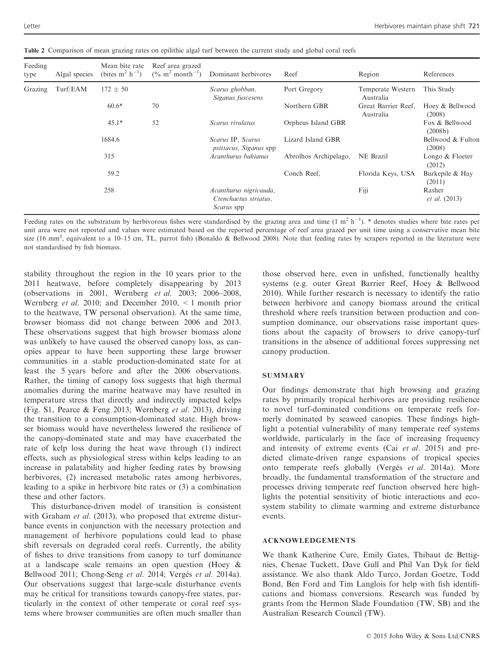| Feeding<br>type | Algal species | Mean bite rate<br>(bites $m^2$ h <sup>-1</sup> ) | Reef area grazed<br>$(\%$ m <sup>2</sup> month <sup>-1</sup> ) | Dominant herbivores                                                  | Reef                  | Region                           | References                     |
|-----------------|---------------|--------------------------------------------------|----------------------------------------------------------------|----------------------------------------------------------------------|-----------------------|----------------------------------|--------------------------------|
| Grazing         | Turf/EAM      | $172 \pm 50$                                     |                                                                | Scarus ghobban,<br>Siganus fuscesens                                 | Port Gregory          | Temperate Western<br>Australia   | This Study                     |
|                 |               | $60.6*$                                          | 70                                                             |                                                                      | Northern GBR          | Great Barrier Reef,<br>Australia | Hoey & Bellwood<br>(2008)      |
|                 |               | $45.1*$                                          | 52                                                             | Scarus rivulatus                                                     | Orpheus Island GBR    |                                  | Fox & Bellwood<br>(2008b)      |
|                 |               | 1684.6                                           |                                                                | Scarus IP, Scarus<br><i>psittacus, Siganus</i> spp                   | Lizard Island GBR     |                                  | Bellwood & Fulton<br>(2008)    |
|                 |               | 315                                              |                                                                | Acanthurus bahianus                                                  | Abrolhos Archipelago, | NE Brazil                        | Longo & Floeter<br>(2012)      |
|                 |               | 59.2                                             |                                                                |                                                                      | Conch Reef.           | Florida Keys, USA                | Burkepile & Hay<br>(2011)      |
|                 |               | 258                                              |                                                                | Acanthurus nigricauda,<br>Ctenchaetus striatus.<br><i>Scarus</i> spp |                       | Fiji                             | Rasher<br><i>et al.</i> (2013) |

Table 2 Comparison of mean grazing rates on epilithic algal turf between the current study and global coral reefs

Feeding rates on the substratum by herbivorous fishes were standardised by the grazing area and time  $(1 \text{ m}^2 \text{ h}^{-1})$ . \* denotes studies where bite rates per unit area were not reported and values were estimated based on the reported percentage of reef area grazed per unit time using a conservative mean bite size (16 mm<sup>2</sup>, equivalent to a 10–15 cm, TL, parrot fish) (Bonaldo & Bellwood 2008). Note that feeding rates by scrapers reported in the literature were not standardised by fish biomass.

stability throughout the region in the 10 years prior to the 2011 heatwave, before completely disappearing by 2013 (observations in 2001, Wernberg et al. 2003; 2006–2008, Wernberg et al. 2010; and December 2010, < 1 month prior to the heatwave, TW personal observation). At the same time, browser biomass did not change between 2006 and 2013. These observations suggest that high browser biomass alone was unlikely to have caused the observed canopy loss, as canopies appear to have been supporting these large browser communities in a stable production-dominated state for at least the 5 years before and after the 2006 observations. Rather, the timing of canopy loss suggests that high thermal anomalies during the marine heatwave may have resulted in temperature stress that directly and indirectly impacted kelps (Fig. S1, Pearce & Feng 2013; Wernberg et al. 2013), driving the transition to a consumption-dominated state. High browser biomass would have nevertheless lowered the resilience of the canopy-dominated state and may have exacerbated the rate of kelp loss during the heat wave through (1) indirect effects, such as physiological stress within kelps leading to an increase in palatability and higher feeding rates by browsing herbivores, (2) increased metabolic rates among herbivores, leading to a spike in herbivore bite rates or (3) a combination these and other factors.

This disturbance-driven model of transition is consistent with Graham *et al.* (2013), who proposed that extreme disturbance events in conjunction with the necessary protection and management of herbivore populations could lead to phase shift reversals on degraded coral reefs. Currently, the ability of fishes to drive transitions from canopy to turf dominance at a landscape scale remains an open question (Hoey & Bellwood 2011; Chong-Seng et al. 2014; Vergés et al. 2014a). Our observations suggest that large-scale disturbance events may be critical for transitions towards canopy-free states, particularly in the context of other temperate or coral reef systems where browser communities are often much smaller than

those observed here, even in unfished, functionally healthy systems (e.g. outer Great Barrier Reef, Hoey & Bellwood 2010). While further research is necessary to identify the ratio between herbivore and canopy biomass around the critical threshold where reefs transition between production and consumption dominance, our observations raise important questions about the capacity of browsers to drive canopy-turf transitions in the absence of additional forces suppressing net canopy production.

# **SUMMARY**

Our findings demonstrate that high browsing and grazing rates by primarily tropical herbivores are providing resilience to novel turf-dominated conditions on temperate reefs formerly dominated by seaweed canopies. These findings highlight a potential vulnerability of many temperate reef systems worldwide, particularly in the face of increasing frequency and intensity of extreme events (Cai et al. 2015) and predicted climate-driven range expansions of tropical species onto temperate reefs globally (Vergés et al. 2014a). More broadly, the fundamental transformation of the structure and processes driving temperate reef function observed here highlights the potential sensitivity of biotic interactions and ecosystem stability to climate warming and extreme disturbance events.

# ACKNOWLEDGEMENTS

We thank Katherine Cure, Emily Gates, Thibaut de Bettignies, Chenae Tuckett, Dave Gull and Phil Van Dyk for field assistance. We also thank Aldo Turco, Jordan Goetze, Todd Bond, Ben Ford and Tim Langlois for help with fish identifications and biomass conversions. Research was funded by grants from the Hermon Slade Foundation (TW, SB) and the Australian Research Council (TW).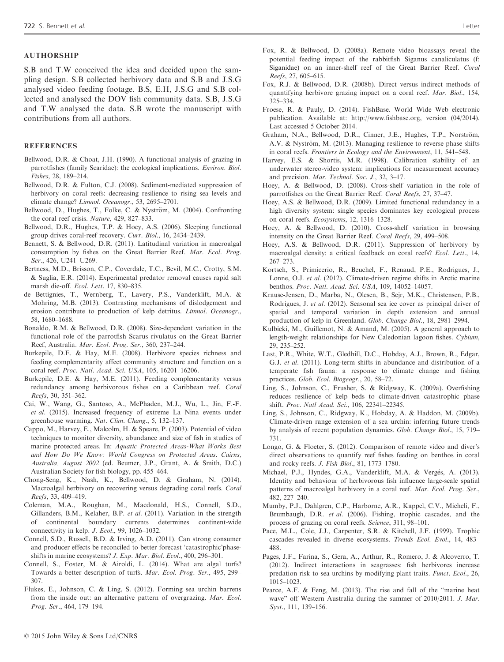### AUTHORSHIP

S.B and T.W conceived the idea and decided upon the sampling design. S.B collected herbivory data and S.B and J.S.G analysed video feeding footage. B.S, E.H, J.S.G and S.B collected and analysed the DOV fish community data. S.B, J.S.G and T.W analysed the data. S.B wrote the manuscript with contributions from all authors.

#### **REFERENCES**

- Bellwood, D.R. & Choat, J.H. (1990). A functional analysis of grazing in parrotfishes (family Scaridae): the ecological implications. Environ. Biol. Fishes, 28, 189–214.
- Bellwood, D.R. & Fulton, C.J. (2008). Sediment-mediated suppression of herbivory on coral reefs: decreasing resilience to rising sea levels and climate change? Limnol. Oceanogr., 53, 2695–2701.
- Bellwood, D., Hughes, T., Folke, C. & Nyström, M. (2004). Confronting the coral reef crisis. Nature, 429, 827–833.
- Bellwood, D.R., Hughes, T.P. & Hoey, A.S. (2006). Sleeping functional group drives coral-reef recovery. Curr. Biol., 16, 2434–2439.
- Bennett, S. & Bellwood, D.R. (2011). Latitudinal variation in macroalgal consumption by fishes on the Great Barrier Reef. Mar. Ecol. Prog. Ser., 426, U241–U269.
- Bertness, M.D., Brisson, C.P., Coverdale, T.C., Bevil, M.C., Crotty, S.M. & Suglia, E.R. (2014). Experimental predator removal causes rapid salt marsh die-off. Ecol. Lett. 17, 830–835.
- de Bettignies, T., Wernberg, T., Lavery, P.S., Vanderklift, M.A. & Mohring, M.B. (2013). Contrasting mechanisms of dislodgement and erosion contribute to production of kelp detritus. Limnol. Oceanogr., 58, 1680–1688.
- Bonaldo, R.M. & Bellwood, D.R. (2008). Size-dependent variation in the functional role of the parrotfish Scarus rivulatus on the Great Barrier Reef, Australia. Mar. Ecol. Prog. Ser., 360, 237–244.
- Burkepile, D.E. & Hay, M.E. (2008). Herbivore species richness and feeding complementarity affect community structure and function on a coral reef. Proc. Natl. Acad. Sci. USA, 105, 16201–16206.
- Burkepile, D.E. & Hay, M.E. (2011). Feeding complementarity versus redundancy among herbivorous fishes on a Caribbean reef. Coral Reefs, 30, 351–362.
- Cai, W., Wang, G., Santoso, A., McPhaden, M.J., Wu, L., Jin, F.-F. et al. (2015). Increased frequency of extreme La Nina events under greenhouse warming. Nat. Clim. Chang., 5, 132–137.
- Cappo, M., Harvey, E., Malcolm, H. & Speare, P. (2003). Potential of video techniques to monitor diversity, abundance and size of fish in studies of marine protected areas. In: Aquatic Protected Areas-What Works Best and How Do We Know: World Congress on Protected Areas. Cairns, Australia, August 2002 (ed. Beumer, J.P., Grant, A. & Smith, D.C.) Australian Society for fish biology, pp. 455–464.
- Chong-Seng, K., Nash, K., Bellwood, D. & Graham, N. (2014). Macroalgal herbivory on recovering versus degrading coral reefs. Coral Reefs, 33, 409–419.
- Coleman, M.A., Roughan, M., Macdonald, H.S., Connell, S.D., Gillanders, B.M., Kelaher, B.P. et al. (2011). Variation in the strength of continental boundary currents determines continent-wide connectivity in kelp. J. Ecol., 99, 1026–1032.
- Connell, S.D., Russell, B.D. & Irving, A.D. (2011). Can strong consumer and producer effects be reconciled to better forecast 'catastrophic'phaseshifts in marine ecosystems? J. Exp. Mar. Biol. Ecol., 400, 296–301.
- Connell, S., Foster, M. & Airoldi, L. (2014). What are algal turfs? Towards a better description of turfs. Mar. Ecol. Prog. Ser., 495, 299– 307.
- Flukes, E., Johnson, C. & Ling, S. (2012). Forming sea urchin barrens from the inside out: an alternative pattern of overgrazing. Mar. Ecol. Prog. Ser., 464, 179–194.
- Fox, R. & Bellwood, D. (2008a). Remote video bioassays reveal the potential feeding impact of the rabbitfish Siganus canaliculatus (f: Siganidae) on an inner-shelf reef of the Great Barrier Reef. Coral Reefs, 27, 605–615.
- Fox, R.J. & Bellwood, D.R. (2008b). Direct versus indirect methods of quantifying herbivore grazing impact on a coral reef. Mar. Biol., 154, 325–334.
- Froese, R. & Pauly, D. (2014). FishBase. World Wide Web electronic publication. Available at:<http://www.fishbase.org>, version (04/2014). Last accessed 5 October 2014.
- Graham, N.A., Bellwood, D.R., Cinner, J.E., Hughes, T.P., Norström, A.V. & Nyström, M. (2013). Managing resilience to reverse phase shifts in coral reefs. Frontiers in Ecology and the Environment, 11, 541–548.
- Harvey, E.S. & Shortis, M.R. (1998). Calibration stability of an underwater stereo-video system: implications for measurement accuracy and precision. Mar. Technol. Soc. J., 32, 3–17.
- Hoey, A. & Bellwood, D. (2008). Cross-shelf variation in the role of parrotfishes on the Great Barrier Reef. Coral Reefs, 27, 37–47.
- Hoey, A.S. & Bellwood, D.R. (2009). Limited functional redundancy in a high diversity system: single species dominates key ecological process on coral reefs. Ecosystems, 12, 1316–1328.
- Hoey, A. & Bellwood, D. (2010). Cross-shelf variation in browsing intensity on the Great Barrier Reef. Coral Reefs, 29, 499–508.
- Hoey, A.S. & Bellwood, D.R. (2011). Suppression of herbivory by macroalgal density: a critical feedback on coral reefs? Ecol. Lett., 14, 267–273.
- Kortsch, S., Primicerio, R., Beuchel, F., Renaud, P.E., Rodrigues, J., Lonne, O.J. et al. (2012). Climate-driven regime shifts in Arctic marine benthos. Proc. Natl. Acad. Sci. USA, 109, 14052–14057.
- Krause-Jensen, D., Marba, N., Olesen, B., Sejr, M.K., Christensen, P.B., Rodrigues, J. et al. (2012). Seasonal sea ice cover as principal driver of spatial and temporal variation in depth extension and annual production of kelp in Greenland. Glob. Change Biol., 18, 2981–2994.
- Kulbicki, M., Guillemot, N. & Amand, M. (2005). A general approach to length-weight relationships for New Caledonian lagoon fishes. Cybium, 29, 235–252.
- Last, P.R., White, W.T., Gledhill, D.C., Hobday, A.J., Brown, R., Edgar, G.J. et al. (2011). Long-term shifts in abundance and distribution of a temperate fish fauna: a response to climate change and fishing practices. Glob. Ecol. Biogeogr., 20, 58–72.
- Ling, S., Johnson, C., Frusher, S. & Ridgway, K. (2009a). Overfishing reduces resilience of kelp beds to climate-driven catastrophic phase shift. Proc. Natl Acad. Sci., 106, 22341–22345.
- Ling, S., Johnson, C., Ridgway, K., Hobday, A. & Haddon, M. (2009b). Climate-driven range extension of a sea urchin: inferring future trends by analysis of recent population dynamics. Glob. Change Biol., 15, 719– 731.
- Longo, G. & Floeter, S. (2012). Comparison of remote video and diver's direct observations to quantify reef fishes feeding on benthos in coral and rocky reefs. J. Fish Biol., 81, 1773–1780.
- Michael, P.J., Hyndes, G.A., Vanderklift, M.A. & Vergés, A. (2013). Identity and behaviour of herbivorous fish influence large-scale spatial patterns of macroalgal herbivory in a coral reef. Mar. Ecol. Prog. Ser., 482, 227–240.
- Mumby, P.J., Dahlgren, C.P., Harborne, A.R., Kappel, C.V., Micheli, F., Brumbaugh, D.R. et al. (2006). Fishing, trophic cascades, and the process of grazing on coral reefs. Science, 311, 98–101.
- Pace, M.L., Cole, J.J., Carpenter, S.R. & Kitchell, J.F. (1999). Trophic cascades revealed in diverse ecosystems. Trends Ecol. Evol., 14, 483– 488.
- Pages, J.F., Farina, S., Gera, A., Arthur, R., Romero, J. & Alcoverro, T. (2012). Indirect interactions in seagrasses: fish herbivores increase predation risk to sea urchins by modifying plant traits. Funct. Ecol., 26, 1015–1023.
- Pearce, A.F. & Feng, M. (2013). The rise and fall of the "marine heat wave" off Western Australia during the summer of 2010/2011. J. Mar. Syst., 111, 139–156.